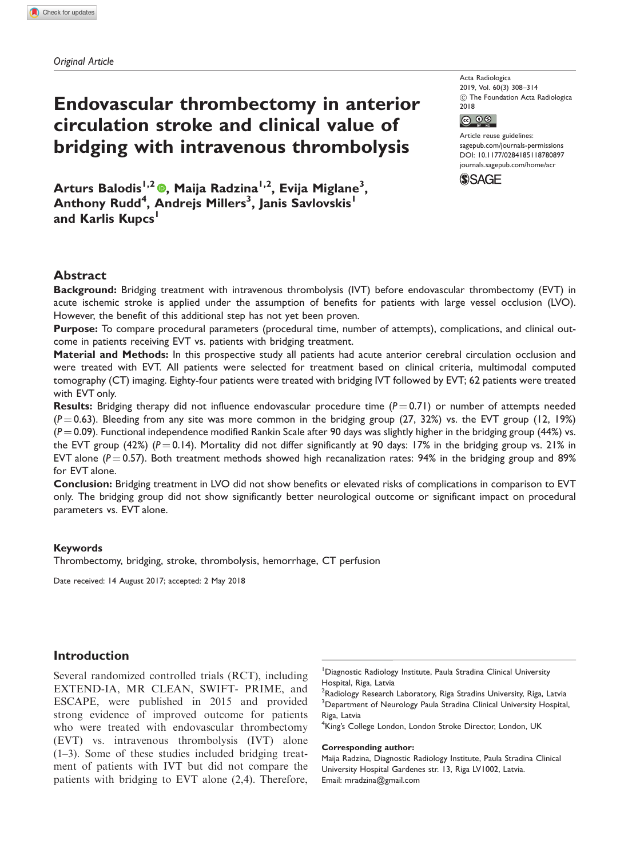# Endovascular thrombectomy in anterior circulation stroke and clinical value of bridging with intravenous thrombolysis

Arturs Balodis<sup>1[,](http://orcid.org/0000-0002-7457-1901)2</sup> ®, Maija Radzina<sup>1,2</sup>, Evija Miglane<sup>3</sup>, Anthony Rudd<sup>4</sup>, Andrejs Millers<sup>3</sup>, Janis Savlovskis<sup>1</sup> and Karlis Kupcs<sup>1</sup>

Acta Radiologica 2019, Vol. 60(3) 308–314  $\circled{c}$  The Foundation Acta Radiologica 2018



Article reuse guidelines: [sagepub.com/journals-permissions](https://uk.sagepub.com/en-gb/journals-permissions) DOI: [10.1177/0284185118780897](https://doi.org/10.1177/0284185118780897) <journals.sagepub.com/home/acr>



# Abstract

Background: Bridging treatment with intravenous thrombolysis (IVT) before endovascular thrombectomy (EVT) in acute ischemic stroke is applied under the assumption of benefits for patients with large vessel occlusion (LVO). However, the benefit of this additional step has not yet been proven.

Purpose: To compare procedural parameters (procedural time, number of attempts), complications, and clinical outcome in patients receiving EVT vs. patients with bridging treatment.

Material and Methods: In this prospective study all patients had acute anterior cerebral circulation occlusion and were treated with EVT. All patients were selected for treatment based on clinical criteria, multimodal computed tomography (CT) imaging. Eighty-four patients were treated with bridging IVT followed by EVT; 62 patients were treated with EVT only.

**Results:** Bridging therapy did not influence endovascular procedure time  $(P=0.71)$  or number of attempts needed  $(P = 0.63)$ . Bleeding from any site was more common in the bridging group (27, 32%) vs. the EVT group (12, 19%)  $(P = 0.09)$ . Functional independence modified Rankin Scale after 90 days was slightly higher in the bridging group (44%) vs. the EVT group (42%) ( $P = 0.14$ ). Mortality did not differ significantly at 90 days: 17% in the bridging group vs. 21% in EVT alone ( $P = 0.57$ ). Both treatment methods showed high recanalization rates: 94% in the bridging group and 89% for EVT alone.

Conclusion: Bridging treatment in LVO did not show benefits or elevated risks of complications in comparison to EVT only. The bridging group did not show significantly better neurological outcome or significant impact on procedural parameters vs. EVT alone.

## Keywords

Thrombectomy, bridging, stroke, thrombolysis, hemorrhage, CT perfusion

Date received: 14 August 2017; accepted: 2 May 2018

## Introduction

Several randomized controlled trials (RCT), including EXTEND-IA, MR CLEAN, SWIFT- PRIME, and ESCAPE, were published in 2015 and provided strong evidence of improved outcome for patients who were treated with endovascular thrombectomy (EVT) vs. intravenous thrombolysis (IVT) alone (1–3). Some of these studies included bridging treatment of patients with IVT but did not compare the patients with bridging to EVT alone (2,4). Therefore,

<sup>1</sup> Diagnostic Radiology Institute, Paula Stradina Clinical University Hospital, Riga, Latvia

 $^{2}$ Radiology Research Laboratory, Riga Stradins University, Riga, Latvia <sup>3</sup>Department of Neurology Paula Stradina Clinical University Hospital, Riga, Latvia

<sup>4</sup>King's College London, London Stroke Director, London, UK

#### Corresponding author:

Maija Radzina, Diagnostic Radiology Institute, Paula Stradina Clinical University Hospital Gardenes str. 13, Riga LV1002, Latvia. Email: mradzina@gmail.com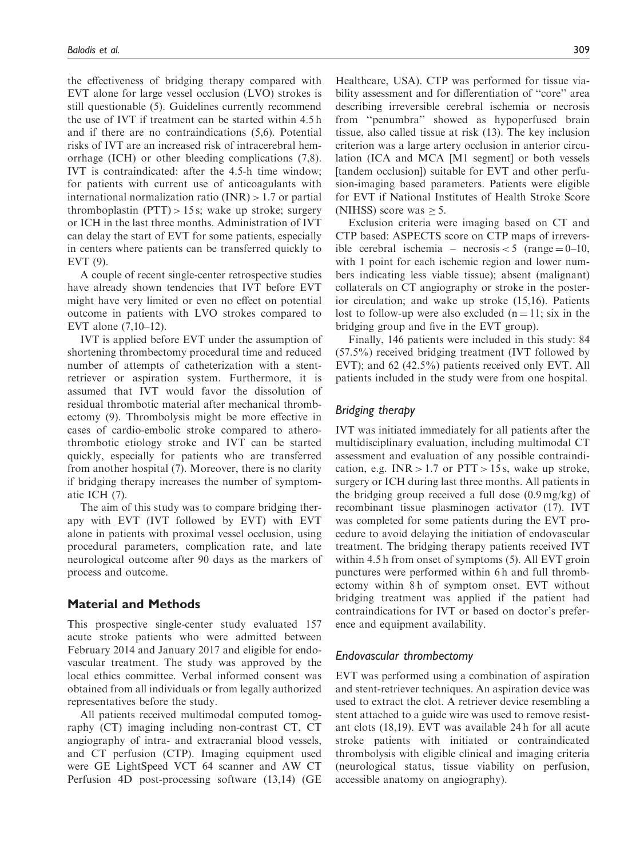the effectiveness of bridging therapy compared with EVT alone for large vessel occlusion (LVO) strokes is still questionable (5). Guidelines currently recommend the use of IVT if treatment can be started within 4.5 h and if there are no contraindications (5,6). Potential risks of IVT are an increased risk of intracerebral hemorrhage (ICH) or other bleeding complications (7,8). IVT is contraindicated: after the 4.5-h time window; for patients with current use of anticoagulants with international normalization ratio  $(INR) > 1.7$  or partial thromboplastin  $(PTT) > 15$  s; wake up stroke; surgery or ICH in the last three months. Administration of IVT can delay the start of EVT for some patients, especially in centers where patients can be transferred quickly to EVT (9).

A couple of recent single-center retrospective studies have already shown tendencies that IVT before EVT might have very limited or even no effect on potential outcome in patients with LVO strokes compared to EVT alone (7,10–12).

IVT is applied before EVT under the assumption of shortening thrombectomy procedural time and reduced number of attempts of catheterization with a stentretriever or aspiration system. Furthermore, it is assumed that IVT would favor the dissolution of residual thrombotic material after mechanical thrombectomy (9). Thrombolysis might be more effective in cases of cardio-embolic stroke compared to atherothrombotic etiology stroke and IVT can be started quickly, especially for patients who are transferred from another hospital (7). Moreover, there is no clarity if bridging therapy increases the number of symptomatic ICH (7).

The aim of this study was to compare bridging therapy with EVT (IVT followed by EVT) with EVT alone in patients with proximal vessel occlusion, using procedural parameters, complication rate, and late neurological outcome after 90 days as the markers of process and outcome.

## Material and Methods

This prospective single-center study evaluated 157 acute stroke patients who were admitted between February 2014 and January 2017 and eligible for endovascular treatment. The study was approved by the local ethics committee. Verbal informed consent was obtained from all individuals or from legally authorized representatives before the study.

All patients received multimodal computed tomography (CT) imaging including non-contrast CT, CT angiography of intra- and extracranial blood vessels, and CT perfusion (CTP). Imaging equipment used were GE LightSpeed VCT 64 scanner and AW CT Perfusion 4D post-processing software (13,14) (GE Healthcare, USA). CTP was performed for tissue viability assessment and for differentiation of ''core'' area describing irreversible cerebral ischemia or necrosis from ''penumbra'' showed as hypoperfused brain tissue, also called tissue at risk (13). The key inclusion criterion was a large artery occlusion in anterior circulation (ICA and MCA [M1 segment] or both vessels [tandem occlusion]) suitable for EVT and other perfusion-imaging based parameters. Patients were eligible for EVT if National Institutes of Health Stroke Score (NIHSS) score was  $\geq$  5.

Exclusion criteria were imaging based on CT and CTP based: ASPECTS score on CTP maps of irreversible cerebral ischemia – necrosis < 5 (range  $= 0$ –10, with 1 point for each ischemic region and lower numbers indicating less viable tissue); absent (malignant) collaterals on CT angiography or stroke in the posterior circulation; and wake up stroke (15,16). Patients lost to follow-up were also excluded  $(n = 11; six$  in the bridging group and five in the EVT group).

Finally, 146 patients were included in this study: 84 (57.5%) received bridging treatment (IVT followed by EVT); and 62 (42.5%) patients received only EVT. All patients included in the study were from one hospital.

## Bridging therapy

IVT was initiated immediately for all patients after the multidisciplinary evaluation, including multimodal CT assessment and evaluation of any possible contraindication, e.g.  $INR > 1.7$  or  $PTT > 15$  s, wake up stroke, surgery or ICH during last three months. All patients in the bridging group received a full dose (0.9 mg/kg) of recombinant tissue plasminogen activator (17). IVT was completed for some patients during the EVT procedure to avoid delaying the initiation of endovascular treatment. The bridging therapy patients received IVT within 4.5 h from onset of symptoms (5). All EVT groin punctures were performed within 6 h and full thrombectomy within 8h of symptom onset. EVT without bridging treatment was applied if the patient had contraindications for IVT or based on doctor's preference and equipment availability.

#### Endovascular thrombectomy

EVT was performed using a combination of aspiration and stent-retriever techniques. An aspiration device was used to extract the clot. A retriever device resembling a stent attached to a guide wire was used to remove resistant clots (18,19). EVT was available 24 h for all acute stroke patients with initiated or contraindicated thrombolysis with eligible clinical and imaging criteria (neurological status, tissue viability on perfusion, accessible anatomy on angiography).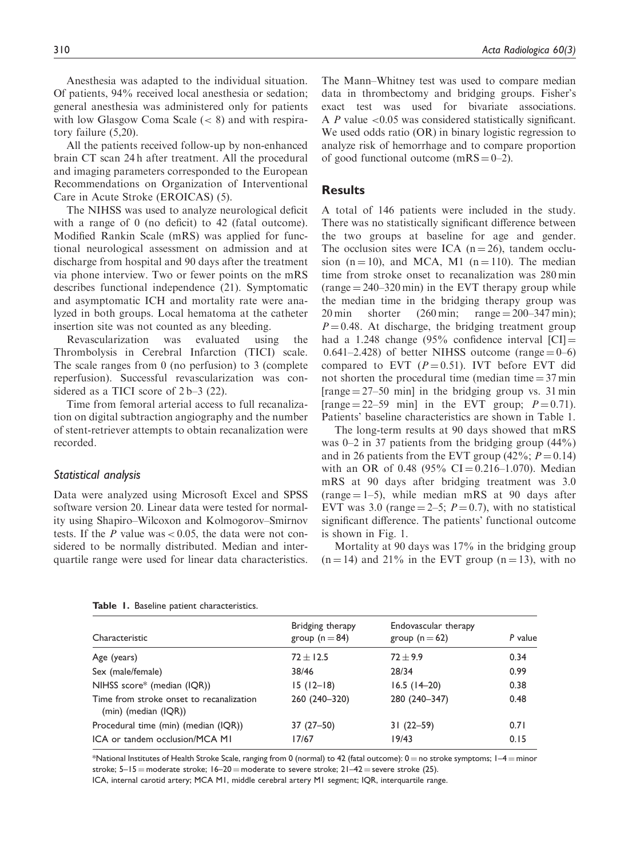Anesthesia was adapted to the individual situation. Of patients, 94% received local anesthesia or sedation; general anesthesia was administered only for patients with low Glasgow Coma Scale  $(< 8)$  and with respiratory failure (5,20).

All the patients received follow-up by non-enhanced brain CT scan 24 h after treatment. All the procedural and imaging parameters corresponded to the European Recommendations on Organization of Interventional Care in Acute Stroke (EROICAS) (5).

The NIHSS was used to analyze neurological deficit with a range of 0 (no deficit) to 42 (fatal outcome). Modified Rankin Scale (mRS) was applied for functional neurological assessment on admission and at discharge from hospital and 90 days after the treatment via phone interview. Two or fewer points on the mRS describes functional independence (21). Symptomatic and asymptomatic ICH and mortality rate were analyzed in both groups. Local hematoma at the catheter insertion site was not counted as any bleeding.

Revascularization was evaluated using the Thrombolysis in Cerebral Infarction (TICI) scale. The scale ranges from 0 (no perfusion) to 3 (complete reperfusion). Successful revascularization was considered as a TICI score of 2 b–3 (22).

Time from femoral arterial access to full recanalization on digital subtraction angiography and the number of stent-retriever attempts to obtain recanalization were recorded.

# Statistical analysis

Data were analyzed using Microsoft Excel and SPSS software version 20. Linear data were tested for normality using Shapiro–Wilcoxon and Kolmogorov–Smirnov tests. If the  $P$  value was < 0.05, the data were not considered to be normally distributed. Median and interquartile range were used for linear data characteristics.

The Mann–Whitney test was used to compare median data in thrombectomy and bridging groups. Fisher's exact test was used for bivariate associations. A *P* value <0.05 was considered statistically significant. We used odds ratio (OR) in binary logistic regression to analyze risk of hemorrhage and to compare proportion of good functional outcome (mRS =  $0-2$ ).

# **Results**

A total of 146 patients were included in the study. There was no statistically significant difference between the two groups at baseline for age and gender. The occlusion sites were ICA  $(n = 26)$ , tandem occlusion (n = 10), and MCA, M1 (n = 110). The median time from stroke onset to recanalization was 280 min  $(range = 240-320 min)$  in the EVT therapy group while the median time in the bridging therapy group was 20 min shorter  $(260 \text{ min}; \text{ range} = 200-347 \text{ min});$  $P = 0.48$ . At discharge, the bridging treatment group had a 1.248 change (95% confidence interval  $|CI|$  = 0.641–2.428) of better NIHSS outcome (range  $= 0-6$ ) compared to EVT  $(P=0.51)$ . IVT before EVT did not shorten the procedural time (median time  $= 37$  min  $[\text{range} = 27 - 50 \text{ min}]$  in the bridging group vs. 31 min [range  $= 22-59$  min] in the EVT group;  $P = 0.71$ . Patients' baseline characteristics are shown in Table 1.

The long-term results at 90 days showed that mRS was  $0-2$  in 37 patients from the bridging group  $(44\%)$ and in 26 patients from the EVT group (42%;  $P = 0.14$ ) with an OR of 0.48 (95% CI = 0.216–1.070). Median mRS at 90 days after bridging treatment was 3.0  $(range = 1-5)$ , while median mRS at 90 days after EVT was 3.0 (range  $= 2-5$ ;  $P = 0.7$ ), with no statistical significant difference. The patients' functional outcome is shown in Fig. 1.

Mortality at 90 days was 17% in the bridging group  $(n = 14)$  and 21% in the EVT group  $(n = 13)$ , with no

| Characteristic                                                        | Bridging therapy<br>group ( $n = 84$ ) | Endovascular therapy<br>group ( $n = 62$ ) | P value |  |  |
|-----------------------------------------------------------------------|----------------------------------------|--------------------------------------------|---------|--|--|
| Age (years)                                                           | $72 \pm 12.5$                          | $72 + 9.9$                                 | 0.34    |  |  |
| Sex (male/female)                                                     | 38/46                                  | 28/34                                      | 0.99    |  |  |
| NIHSS score* (median (IQR))                                           | $15(12-18)$                            | 16.5 (14-20)                               | 0.38    |  |  |
| Time from stroke onset to recanalization<br>$(min)$ (median $(IQR)$ ) | 260 (240-320)                          | 280 (240-347)                              | 0.48    |  |  |
| Procedural time (min) (median (IQR))                                  | $37(27-50)$                            | $31(22 - 59)$                              | 0.71    |  |  |
| ICA or tandem occlusion/MCA MI                                        | 17/67                                  | 19/43                                      | 0.15    |  |  |

Table 1. Baseline patient characteristics.

\*National Institutes of Health Stroke Scale, ranging from 0 (normal) to 42 (fatal outcome):  $0 =$  no stroke symptoms;  $1-4 =$  minor stroke;  $5-15$  = moderate stroke;  $16-20$  = moderate to severe stroke;  $21-42$  = severe stroke (25).

ICA, internal carotid artery; MCA M1, middle cerebral artery M1 segment; IQR, interquartile range.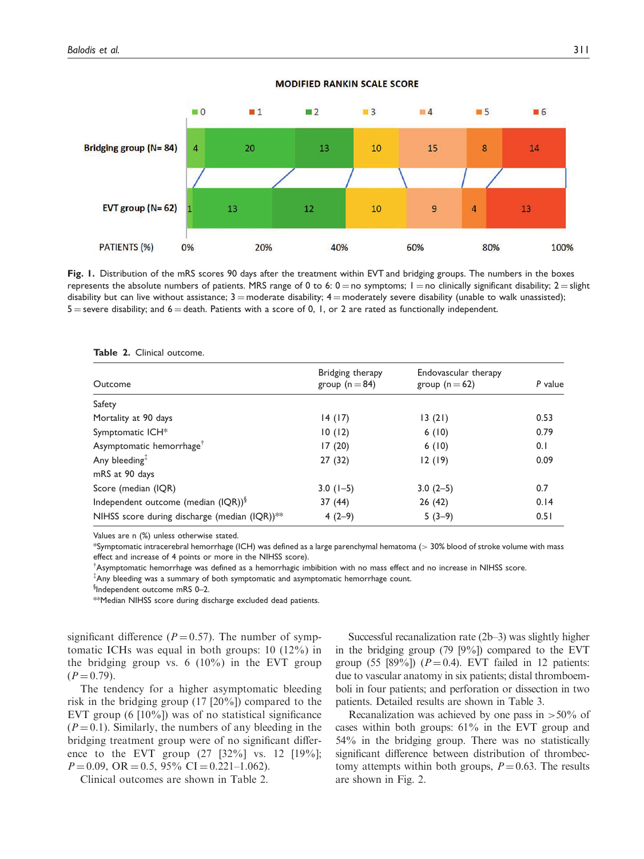

Fig. 1. Distribution of the mRS scores 90 days after the treatment within EVT and bridging groups. The numbers in the boxes represents the absolute numbers of patients. MRS range of 0 to 6:  $0 =$  no symptoms;  $1 =$  no clinically significant disability;  $2 =$  slight disability but can live without assistance;  $3 =$  moderate disability;  $4 =$  moderately severe disability (unable to walk unassisted);  $5$  = severe disability; and  $6$  = death. Patients with a score of 0, 1, or 2 are rated as functionally independent.

| Outcome                                                   | Bridging therapy<br>group ( $n = 84$ ) | Endovascular therapy<br>group ( $n = 62$ ) | P value |
|-----------------------------------------------------------|----------------------------------------|--------------------------------------------|---------|
| Safety                                                    |                                        |                                            |         |
| Mortality at 90 days                                      | 14(17)                                 | 13(21)                                     | 0.53    |
| Symptomatic ICH*                                          | 10(12)                                 | 6(10)                                      | 0.79    |
| Asymptomatic hemorrhage <sup>†</sup>                      | 17(20)                                 | 6(10)                                      | 0.1     |
| Any bleeding <sup><math>\ddag</math></sup>                | 27(32)                                 | 12(19)                                     | 0.09    |
| mRS at 90 days                                            |                                        |                                            |         |
| Score (median (IQR)                                       | $3.0$ (1-5)                            | $3.0(2-5)$                                 | 0.7     |
| Independent outcome (median $(IQR))^{\S}$                 | 37(44)                                 | 26(42)                                     | 0.14    |
| NIHSS score during discharge (median (IQR)) <sup>**</sup> | $4(2-9)$                               | $5(3-9)$                                   | 0.51    |

Table 2. Clinical outcome.

Values are n (%) unless otherwise stated.

\*Symptomatic intracerebral hemorrhage (ICH) was defined as a large parenchymal hematoma (> 30% blood of stroke volume with mass effect and increase of 4 points or more in the NIHSS score).

 $^\dagger$ Asymptomatic hemorrhage was defined as a hemorrhagic imbibition with no mass effect and no increase in NIHSS score.

z Any bleeding was a summary of both symptomatic and asymptomatic hemorrhage count.

§ Independent outcome mRS 0–2.

\*\*Median NIHSS score during discharge excluded dead patients.

significant difference ( $P = 0.57$ ). The number of symptomatic ICHs was equal in both groups: 10 (12%) in the bridging group vs. 6 (10%) in the EVT group  $(P = 0.79)$ .

The tendency for a higher asymptomatic bleeding risk in the bridging group (17 [20%]) compared to the EVT group (6 [10%]) was of no statistical significance  $(P = 0.1)$ . Similarly, the numbers of any bleeding in the bridging treatment group were of no significant difference to the EVT group (27 [32%] vs. 12 [19%];  $P = 0.09$ , OR  $= 0.5$ , 95% CI  $= 0.221 - 1.062$ ).

Clinical outcomes are shown in Table 2.

Successful recanalization rate (2b–3) was slightly higher in the bridging group (79 [9%]) compared to the EVT group (55 [89%])  $(P=0.4)$ . EVT failed in 12 patients: due to vascular anatomy in six patients; distal thromboemboli in four patients; and perforation or dissection in two patients. Detailed results are shown in Table 3.

Recanalization was achieved by one pass in  $>50\%$  of cases within both groups: 61% in the EVT group and 54% in the bridging group. There was no statistically significant difference between distribution of thrombectomy attempts within both groups,  $P = 0.63$ . The results are shown in Fig. 2.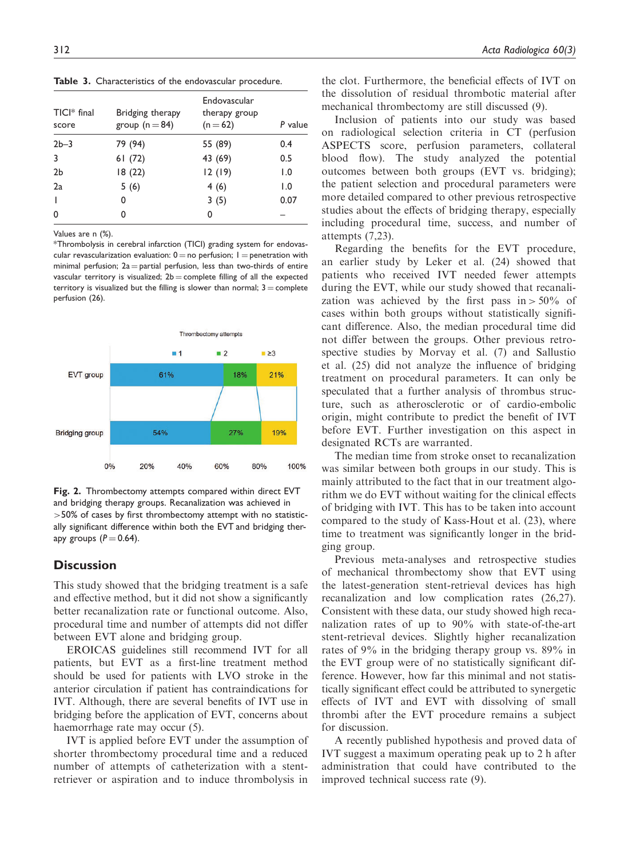Table 3. Characteristics of the endovascular procedure.

| $TICI* final$<br>score | Bridging therapy<br>group ( $n = 84$ ) | Endovascular<br>therapy group<br>$(n = 62)$ | P value       |
|------------------------|----------------------------------------|---------------------------------------------|---------------|
| $2b-3$                 | 79 (94)                                | 55 (89)                                     | 0.4           |
| 3                      | 61(72)                                 | 43 (69)                                     | 0.5           |
| 2 <sub>b</sub>         | 18(22)                                 | 12(19)                                      | $\mathsf{L}0$ |
| 2a                     | 5(6)                                   | 4(6)                                        | $\mathsf{L}0$ |
|                        | 0                                      | 3(5)                                        | 0.07          |
|                        |                                        | 0                                           |               |

Values are n (%).

\*Thrombolysis in cerebral infarction (TICI) grading system for endovascular revascularization evaluation:  $0 =$  no perfusion;  $1 =$  penetration with minimal perfusion;  $2a =$  partial perfusion, less than two-thirds of entire vascular territory is visualized;  $2b =$  complete filling of all the expected territory is visualized but the filling is slower than normal;  $3 =$  complete perfusion (26).



Fig. 2. Thrombectomy attempts compared within direct EVT and bridging therapy groups. Recanalization was achieved in >50% of cases by first thrombectomy attempt with no statistically significant difference within both the EVT and bridging therapy groups  $(P = 0.64)$ .

# **Discussion**

This study showed that the bridging treatment is a safe and effective method, but it did not show a significantly better recanalization rate or functional outcome. Also, procedural time and number of attempts did not differ between EVT alone and bridging group.

EROICAS guidelines still recommend IVT for all patients, but EVT as a first-line treatment method should be used for patients with LVO stroke in the anterior circulation if patient has contraindications for IVT. Although, there are several benefits of IVT use in bridging before the application of EVT, concerns about haemorrhage rate may occur (5).

IVT is applied before EVT under the assumption of shorter thrombectomy procedural time and a reduced number of attempts of catheterization with a stentretriever or aspiration and to induce thrombolysis in

the clot. Furthermore, the beneficial effects of IVT on the dissolution of residual thrombotic material after mechanical thrombectomy are still discussed (9).

Inclusion of patients into our study was based on radiological selection criteria in CT (perfusion ASPECTS score, perfusion parameters, collateral blood flow). The study analyzed the potential outcomes between both groups (EVT vs. bridging); the patient selection and procedural parameters were more detailed compared to other previous retrospective studies about the effects of bridging therapy, especially including procedural time, success, and number of attempts (7,23).

Regarding the benefits for the EVT procedure, an earlier study by Leker et al. (24) showed that patients who received IVT needed fewer attempts during the EVT, while our study showed that recanalization was achieved by the first pass in  $> 50\%$  of cases within both groups without statistically significant difference. Also, the median procedural time did not differ between the groups. Other previous retrospective studies by Morvay et al. (7) and Sallustio et al. (25) did not analyze the influence of bridging treatment on procedural parameters. It can only be speculated that a further analysis of thrombus structure, such as atherosclerotic or of cardio-embolic origin, might contribute to predict the benefit of IVT before EVT. Further investigation on this aspect in designated RCTs are warranted.

The median time from stroke onset to recanalization was similar between both groups in our study. This is mainly attributed to the fact that in our treatment algorithm we do EVT without waiting for the clinical effects of bridging with IVT. This has to be taken into account compared to the study of Kass-Hout et al. (23), where time to treatment was significantly longer in the bridging group.

Previous meta-analyses and retrospective studies of mechanical thrombectomy show that EVT using the latest-generation stent-retrieval devices has high recanalization and low complication rates (26,27). Consistent with these data, our study showed high recanalization rates of up to 90% with state-of-the-art stent-retrieval devices. Slightly higher recanalization rates of 9% in the bridging therapy group vs. 89% in the EVT group were of no statistically significant difference. However, how far this minimal and not statistically significant effect could be attributed to synergetic effects of IVT and EVT with dissolving of small thrombi after the EVT procedure remains a subject for discussion.

A recently published hypothesis and proved data of IVT suggest a maximum operating peak up to 2 h after administration that could have contributed to the improved technical success rate (9).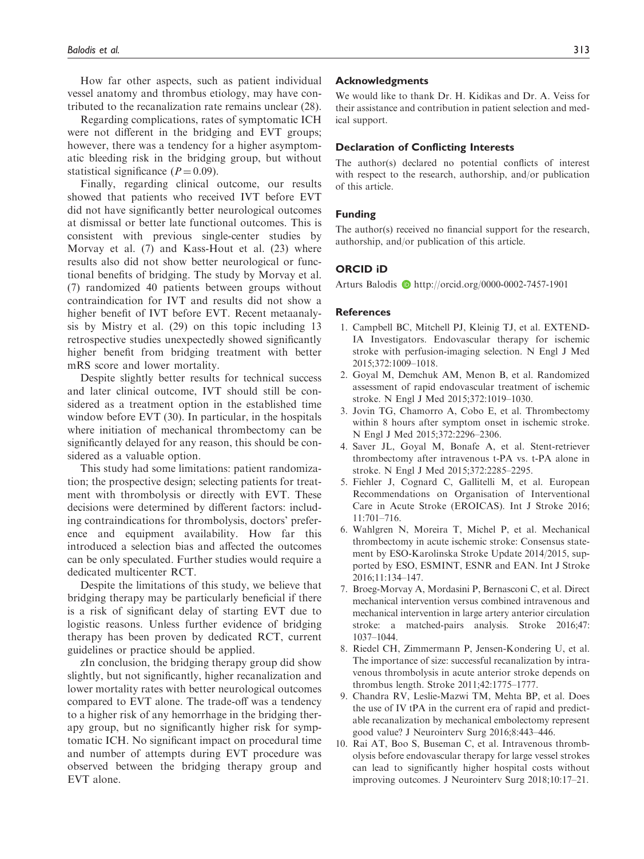How far other aspects, such as patient individual vessel anatomy and thrombus etiology, may have contributed to the recanalization rate remains unclear (28).

Regarding complications, rates of symptomatic ICH were not different in the bridging and EVT groups; however, there was a tendency for a higher asymptomatic bleeding risk in the bridging group, but without statistical significance  $(P = 0.09)$ .

Finally, regarding clinical outcome, our results showed that patients who received IVT before EVT did not have significantly better neurological outcomes at dismissal or better late functional outcomes. This is consistent with previous single-center studies by Morvay et al. (7) and Kass-Hout et al. (23) where results also did not show better neurological or functional benefits of bridging. The study by Morvay et al. (7) randomized 40 patients between groups without contraindication for IVT and results did not show a higher benefit of IVT before EVT. Recent metaanalysis by Mistry et al. (29) on this topic including 13 retrospective studies unexpectedly showed significantly higher benefit from bridging treatment with better mRS score and lower mortality.

Despite slightly better results for technical success and later clinical outcome, IVT should still be considered as a treatment option in the established time window before EVT (30). In particular, in the hospitals where initiation of mechanical thrombectomy can be significantly delayed for any reason, this should be considered as a valuable option.

This study had some limitations: patient randomization; the prospective design; selecting patients for treatment with thrombolysis or directly with EVT. These decisions were determined by different factors: including contraindications for thrombolysis, doctors' preference and equipment availability. How far this introduced a selection bias and affected the outcomes can be only speculated. Further studies would require a dedicated multicenter RCT.

Despite the limitations of this study, we believe that bridging therapy may be particularly beneficial if there is a risk of significant delay of starting EVT due to logistic reasons. Unless further evidence of bridging therapy has been proven by dedicated RCT, current guidelines or practice should be applied.

zIn conclusion, the bridging therapy group did show slightly, but not significantly, higher recanalization and lower mortality rates with better neurological outcomes compared to EVT alone. The trade-off was a tendency to a higher risk of any hemorrhage in the bridging therapy group, but no significantly higher risk for symptomatic ICH. No significant impact on procedural time and number of attempts during EVT procedure was observed between the bridging therapy group and EVT alone.

## Acknowledgments

We would like to thank Dr. H. Kidikas and Dr. A. Veiss for their assistance and contribution in patient selection and medical support.

#### Declaration of Conflicting Interests

The author(s) declared no potential conflicts of interest with respect to the research, authorship, and/or publication of this article.

## Funding

The author(s) received no financial support for the research, authorship, and/or publication of this article.

## ORCID iD

Arturs Balodis <http://orcid.org/0000-0002-7457-1901>

#### **References**

- 1. Campbell BC, Mitchell PJ, Kleinig TJ, et al. EXTEND-IA Investigators. Endovascular therapy for ischemic stroke with perfusion-imaging selection. N Engl J Med 2015;372:1009–1018.
- 2. Goyal M, Demchuk AM, Menon B, et al. Randomized assessment of rapid endovascular treatment of ischemic stroke. N Engl J Med 2015;372:1019–1030.
- 3. Jovin TG, Chamorro A, Cobo E, et al. Thrombectomy within 8 hours after symptom onset in ischemic stroke. N Engl J Med 2015;372:2296–2306.
- 4. Saver JL, Goyal M, Bonafe A, et al. Stent-retriever thrombectomy after intravenous t-PA vs. t-PA alone in stroke. N Engl J Med 2015;372:2285–2295.
- 5. Fiehler J, Cognard C, Gallitelli M, et al. European Recommendations on Organisation of Interventional Care in Acute Stroke (EROICAS). Int J Stroke 2016; 11:701–716.
- 6. Wahlgren N, Moreira T, Michel P, et al. Mechanical thrombectomy in acute ischemic stroke: Consensus statement by ESO-Karolinska Stroke Update 2014/2015, supported by ESO, ESMINT, ESNR and EAN. Int J Stroke 2016;11:134–147.
- 7. Broeg-Morvay A, Mordasini P, Bernasconi C, et al. Direct mechanical intervention versus combined intravenous and mechanical intervention in large artery anterior circulation stroke: a matched-pairs analysis. Stroke 2016;47: 1037–1044.
- 8. Riedel CH, Zimmermann P, Jensen-Kondering U, et al. The importance of size: successful recanalization by intravenous thrombolysis in acute anterior stroke depends on thrombus length. Stroke 2011;42:1775–1777.
- 9. Chandra RV, Leslie-Mazwi TM, Mehta BP, et al. Does the use of IV tPA in the current era of rapid and predictable recanalization by mechanical embolectomy represent good value? J Neurointerv Surg 2016;8:443–446.
- 10. Rai AT, Boo S, Buseman C, et al. Intravenous thrombolysis before endovascular therapy for large vessel strokes can lead to significantly higher hospital costs without improving outcomes. J Neurointerv Surg 2018;10:17–21.